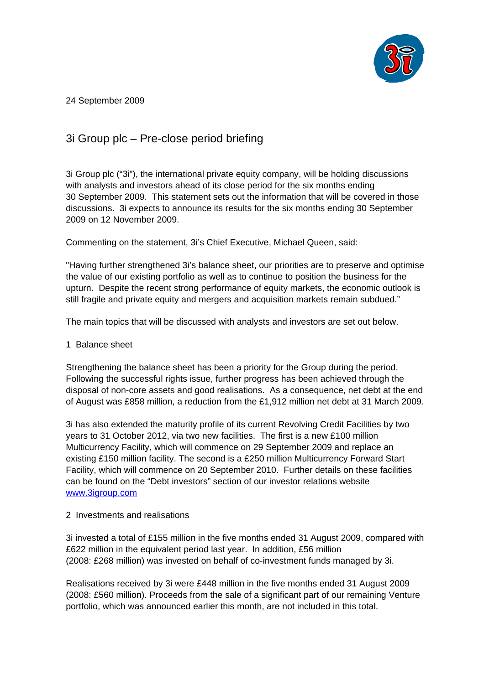

24 September 2009

## 3i Group plc – Pre-close period briefing

3i Group plc ("3i"), the international private equity company, will be holding discussions with analysts and investors ahead of its close period for the six months ending 30 September 2009. This statement sets out the information that will be covered in those discussions. 3i expects to announce its results for the six months ending 30 September 2009 on 12 November 2009.

Commenting on the statement, 3i's Chief Executive, Michael Queen, said:

"Having further strengthened 3i's balance sheet, our priorities are to preserve and optimise the value of our existing portfolio as well as to continue to position the business for the upturn. Despite the recent strong performance of equity markets, the economic outlook is still fragile and private equity and mergers and acquisition markets remain subdued."

The main topics that will be discussed with analysts and investors are set out below.

## 1 Balance sheet

Strengthening the balance sheet has been a priority for the Group during the period. Following the successful rights issue, further progress has been achieved through the disposal of non-core assets and good realisations. As a consequence, net debt at the end of August was £858 million, a reduction from the £1,912 million net debt at 31 March 2009.

3i has also extended the maturity profile of its current Revolving Credit Facilities by two years to 31 October 2012, via two new facilities. The first is a new £100 million Multicurrency Facility, which will commence on 29 September 2009 and replace an existing £150 million facility. The second is a £250 million Multicurrency Forward Start Facility, which will commence on 20 September 2010. Further details on these facilities can be found on the "Debt investors" section of our investor relations website [www.3igroup.com](http://www.3igroup.com/)

## 2 Investments and realisations

3i invested a total of £155 million in the five months ended 31 August 2009, compared with £622 million in the equivalent period last year. In addition, £56 million (2008: £268 million) was invested on behalf of co-investment funds managed by 3i.

Realisations received by 3i were £448 million in the five months ended 31 August 2009 (2008: £560 million). Proceeds from the sale of a significant part of our remaining Venture portfolio, which was announced earlier this month, are not included in this total.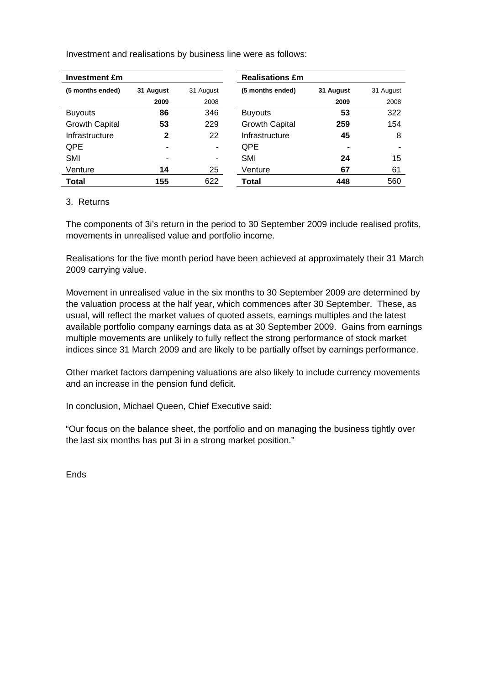| <b>Investment £m</b>  |           |           | <b>Realisations £m</b> |           |           |
|-----------------------|-----------|-----------|------------------------|-----------|-----------|
| (5 months ended)      | 31 August | 31 August | (5 months ended)       | 31 August | 31 August |
|                       | 2009      | 2008      |                        | 2009      | 2008      |
| <b>Buyouts</b>        | 86        | 346       | <b>Buyouts</b>         | 53        | 322       |
| <b>Growth Capital</b> | 53        | 229       | <b>Growth Capital</b>  | 259       | 154       |
| Infrastructure        | 2         | 22        | Infrastructure         | 45        | 8         |
| QPE                   | -         | ۰         | <b>QPE</b>             | ٠         |           |
| SMI                   | -         | ۰         | <b>SMI</b>             | 24        | 15        |
| Venture               | 14        | 25        | Venture                | 67        | 61        |
| <b>Total</b>          | 155       | 622       | Total                  | 448       | 560       |

Investment and realisations by business line were as follows:

## 3. Returns

The components of 3i's return in the period to 30 September 2009 include realised profits, movements in unrealised value and portfolio income.

Realisations for the five month period have been achieved at approximately their 31 March 2009 carrying value.

Movement in unrealised value in the six months to 30 September 2009 are determined by the valuation process at the half year, which commences after 30 September. These, as usual, will reflect the market values of quoted assets, earnings multiples and the latest available portfolio company earnings data as at 30 September 2009. Gains from earnings multiple movements are unlikely to fully reflect the strong performance of stock market indices since 31 March 2009 and are likely to be partially offset by earnings performance.

Other market factors dampening valuations are also likely to include currency movements and an increase in the pension fund deficit.

In conclusion, Michael Queen, Chief Executive said:

"Our focus on the balance sheet, the portfolio and on managing the business tightly over the last six months has put 3i in a strong market position."

Ends